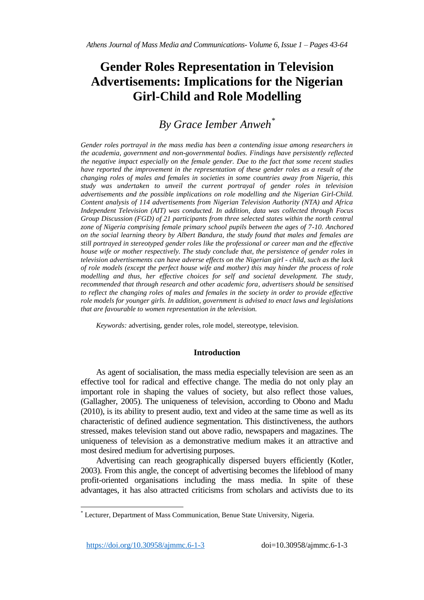# **Gender Roles Representation in Television Advertisements: Implications for the Nigerian Girl-Child and Role Modelling**

# *By Grace Iember Anweh\**

*Gender roles portrayal in the mass media has been a contending issue among researchers in the academia, government and non-governmental bodies. Findings have persistently reflected the negative impact especially on the female gender. Due to the fact that some recent studies have reported the improvement in the representation of these gender roles as a result of the changing roles of males and females in societies in some countries away from Nigeria, this study was undertaken to unveil the current portrayal of gender roles in television advertisements and the possible implications on role modelling and the Nigerian Girl-Child. Content analysis of 114 advertisements from Nigerian Television Authority (NTA) and Africa Independent Television (AIT) was conducted. In addition, data was collected through Focus Group Discussion (FGD) of 21 participants from three selected states within the north central zone of Nigeria comprising female primary school pupils between the ages of 7-10. Anchored on the social learning theory by Albert Bandura, the study found that males and females are still portrayed in stereotyped gender roles like the professional or career man and the effective house wife or mother respectively. The study conclude that, the persistence of gender roles in television advertisements can have adverse effects on the Nigerian girl - child, such as the lack of role models (except the perfect house wife and mother) this may hinder the process of role modelling and thus, her effective choices for self and societal development. The study, recommended that through research and other academic fora, advertisers should be sensitised to reflect the changing roles of males and females in the society in order to provide effective role models for younger girls. In addition, government is advised to enact laws and legislations that are favourable to women representation in the television.*

*Keywords:* advertising, gender roles, role model, stereotype, television.

# **Introduction**

As agent of socialisation, the mass media especially television are seen as an effective tool for radical and effective change. The media do not only play an important role in shaping the values of society, but also reflect those values, (Gallagher, 2005). The uniqueness of television, according to Obono and Madu (2010), is its ability to present audio, text and video at the same time as well as its characteristic of defined audience segmentation. This distinctiveness, the authors stressed, makes television stand out above radio, newspapers and magazines. The uniqueness of television as a demonstrative medium makes it an attractive and most desired medium for advertising purposes.

Advertising can reach geographically dispersed buyers efficiently (Kotler, 2003). From this angle, the concept of advertising becomes the lifeblood of many profit-oriented organisations including the mass media. In spite of these advantages, it has also attracted criticisms from scholars and activists due to its

 $\overline{a}$ 

Lecturer, Department of Mass Communication, Benue State University, Nigeria.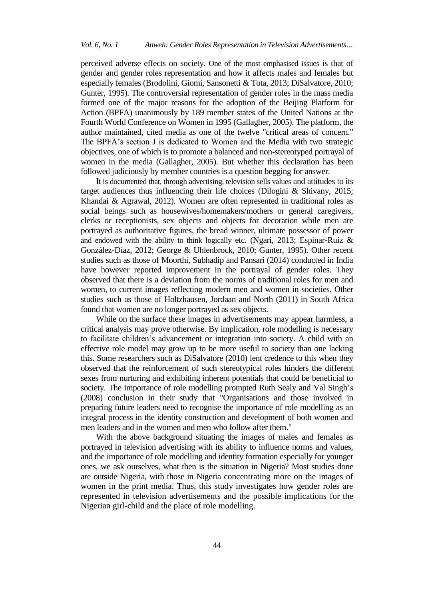perceived adverse effects on society. One of the most emphasised issues is that of gender and gender roles representation and how it affects males and females but especially females (Brodolini, Giomi, Sansonetti & Tota, 2013; DiSalvatore, 2010; Gunter, 1995). The controversial representation of gender roles in the mass media formed one of the major reasons for the adoption of the Beijing Platform for Action (BPFA) unanimously by 189 member states of the United Nations at the Fourth World Conference on Women in 1995 (Gallagher, 2005). The platform, the author maintained, cited media as one of the twelve "critical areas of concern." The BPFA's section J is dedicated to Women and the Media with two strategic objectives, one of which is to promote a balanced and non-stereotyped portrayal of women in the media (Gallagher, 2005). But whether this declaration has been followed judiciously by member countries is a question begging for answer.

It is documented that, through advertising, television sells values and attitudes to its target audiences thus influencing their life choices (Dilogini & Shivany, 2015; Khandai & Agrawal, 2012). Women are often represented in traditional roles as social beings such as housewives/homemakers/mothers or general caregivers, clerks or receptionists, sex objects and objects for decoration while men are portrayed as authoritative figures, the bread winner, ultimate possessor of power and endowed with the ability to think logically etc. (Ngari, 2013; Espinar-Ruiz & González-Díaz, 2012; George & Uhlenbrock, 2010; Gunter, 1995). Other recent studies such as those of Moorthi, Subhadip and Pansari (2014) conducted in India have however reported improvement in the portrayal of gender roles. They observed that there is a deviation from the norms of traditional roles for men and women, to current images reflecting modern men and women in societies. Other studies such as those of Holtzhausen, Jordaan and North (2011) in South Africa found that women are no longer portrayed as sex objects.

While on the surface these images in advertisements may appear harmless, a critical analysis may prove otherwise. By implication, role modelling is necessary to facilitate children's advancement or integration into society. A child with an effective role model may grow up to be more useful to society than one lacking this. Some researchers such as DiSalvatore (2010) lent credence to this when they observed that the reinforcement of such stereotypical roles hinders the different sexes from nurturing and exhibiting inherent potentials that could be beneficial to society. The importance of role modelling prompted Ruth Sealy and Val Singh's (2008) conclusion in their study that "Organisations and those involved in preparing future leaders need to recognise the importance of role modelling as an integral process in the identity construction and development of both women and men leaders and in the women and men who follow after them."

With the above background situating the images of males and females as portrayed in television advertising with its ability to influence norms and values, and the importance of role modelling and identity formation especially for younger ones, we ask ourselves, what then is the situation in Nigeria? Most studies done are outside Nigeria, with those in Nigeria concentrating more on the images of women in the print media. Thus, this study investigates how gender roles are represented in television advertisements and the possible implications for the Nigerian girl-child and the place of role modelling.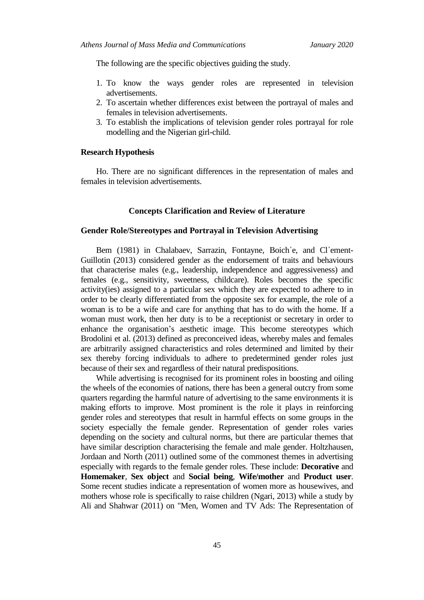The following are the specific objectives guiding the study.

- 1. To know the ways gender roles are represented in television advertisements.
- 2. To ascertain whether differences exist between the portrayal of males and females in television advertisements.
- 3. To establish the implications of television gender roles portrayal for role modelling and the Nigerian girl-child.

## **Research Hypothesis**

Ho. There are no significant differences in the representation of males and females in television advertisements.

## **Concepts Clarification and Review of Literature**

# **Gender Role/Stereotypes and Portrayal in Television Advertising**

Bem (1981) in Chalabaev, Sarrazin, Fontayne, Boich'e, and Cl'ement-Guillotin (2013) considered gender as the endorsement of traits and behaviours that characterise males (e.g., leadership, independence and aggressiveness) and females (e.g., sensitivity, sweetness, childcare). Roles becomes the specific activity(ies) assigned to a particular sex which they are expected to adhere to in order to be clearly differentiated from the opposite sex for example, the role of a woman is to be a wife and care for anything that has to do with the home. If a woman must work, then her duty is to be a receptionist or secretary in order to enhance the organisation's aesthetic image. This become stereotypes which Brodolini et al. (2013) defined as preconceived ideas, whereby males and females are arbitrarily assigned characteristics and roles determined and limited by their sex thereby forcing individuals to adhere to predetermined gender roles just because of their sex and regardless of their natural predispositions.

While advertising is recognised for its prominent roles in boosting and oiling the wheels of the economies of nations, there has been a general outcry from some quarters regarding the harmful nature of advertising to the same environments it is making efforts to improve. Most prominent is the role it plays in reinforcing gender roles and stereotypes that result in harmful effects on some groups in the society especially the female gender. Representation of gender roles varies depending on the society and cultural norms, but there are particular themes that have similar description characterising the female and male gender. Holtzhausen, Jordaan and North (2011) outlined some of the commonest themes in advertising especially with regards to the female gender roles. These include: **Decorative** and **Homemaker**, **Sex object** and **Social being**, **Wife/mother** and **Product user**. Some recent studies indicate a representation of women more as housewives, and mothers whose role is specifically to raise children (Ngari, 2013) while a study by Ali and Shahwar (2011) on "Men, Women and TV Ads: The Representation of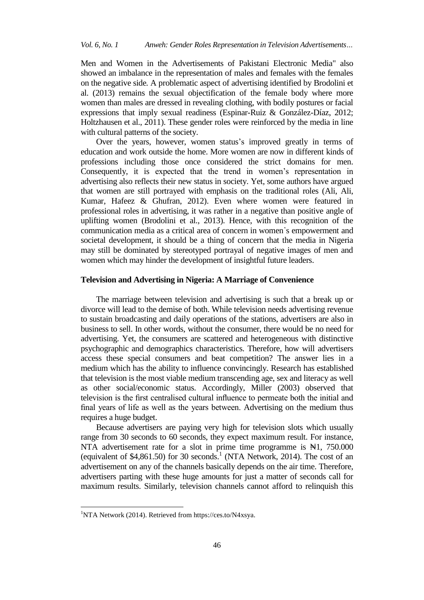Men and Women in the Advertisements of Pakistani Electronic Media" also showed an imbalance in the representation of males and females with the females on the negative side*.* A problematic aspect of advertising identified by Brodolini et al. (2013) remains the sexual objectification of the female body where more women than males are dressed in revealing clothing, with bodily postures or facial expressions that imply sexual readiness (Espinar-Ruiz & González-Díaz, 2012; Holtzhausen et al., 2011). These gender roles were reinforced by the media in line with cultural patterns of the society.

Over the years, however, women status's improved greatly in terms of education and work outside the home. More women are now in different kinds of professions including those once considered the strict domains for men. Consequently, it is expected that the trend in women's representation in advertising also reflects their new status in society. Yet, some authors have argued that women are still portrayed with emphasis on the traditional roles (Ali, Ali, Kumar, Hafeez & Ghufran, 2012). Even where women were featured in professional roles in advertising, it was rather in a negative than positive angle of uplifting women (Brodolini et al., 2013). Hence, with this recognition of the communication media as a critical area of concern in women᾽s empowerment and societal development, it should be a thing of concern that the media in Nigeria may still be dominated by stereotyped portrayal of negative images of men and women which may hinder the development of insightful future leaders.

# **Television and Advertising in Nigeria: A Marriage of Convenience**

The marriage between television and advertising is such that a break up or divorce will lead to the demise of both. While television needs advertising revenue to sustain broadcasting and daily operations of the stations, advertisers are also in business to sell. In other words, without the consumer, there would be no need for advertising. Yet, the consumers are scattered and heterogeneous with distinctive psychographic and demographics characteristics. Therefore, how will advertisers access these special consumers and beat competition? The answer lies in a medium which has the ability to influence convincingly. Research has established that television is the most viable medium transcending age, sex and literacy as well as other social/economic status. Accordingly, Miller (2003) observed that television is the first centralised cultural influence to permeate both the initial and final years of life as well as the years between. Advertising on the medium thus requires a huge budget.

Because advertisers are paying very high for television slots which usually range from 30 seconds to 60 seconds, they expect maximum result. For instance, NTA advertisement rate for a slot in prime time programme is  $\mathbb{H}1$ , 750.000 (equivalent of \$4,861.50) for 30 seconds.<sup>1</sup> (NTA Network, 2014). The cost of an advertisement on any of the channels basically depends on the air time. Therefore, advertisers parting with these huge amounts for just a matter of seconds call for maximum results. Similarly, television channels cannot afford to relinquish this

 $\overline{a}$ 

<sup>1</sup>NTA Network (2014). Retrieved from https://ces.to/N4xsya.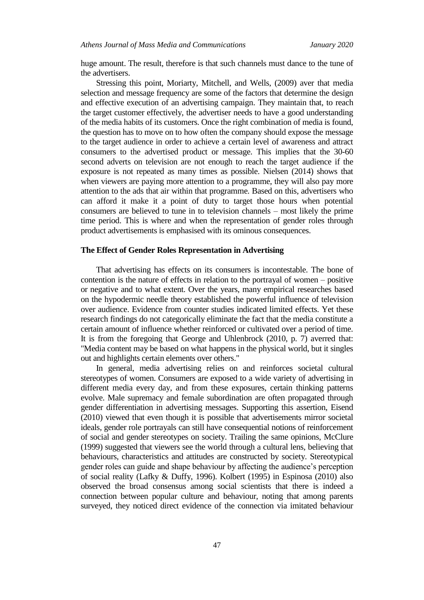huge amount. The result, therefore is that such channels must dance to the tune of the advertisers.

Stressing this point, Moriarty, Mitchell, and Wells, (2009) aver that media selection and message frequency are some of the factors that determine the design and effective execution of an advertising campaign. They maintain that, to reach the target customer effectively, the advertiser needs to have a good understanding of the media habits of its customers. Once the right combination of media is found, the question has to move on to how often the company should expose the message to the target audience in order to achieve a certain level of awareness and attract consumers to the advertised product or message. This implies that the 30-60 second adverts on television are not enough to reach the target audience if the exposure is not repeated as many times as possible. Nielsen (2014) shows that when viewers are paying more attention to a programme, they will also pay more attention to the ads that air within that programme. Based on this, advertisers who can afford it make it a point of duty to target those hours when potential consumers are believed to tune in to television channels – most likely the prime time period. This is where and when the representation of gender roles through product advertisements is emphasised with its ominous consequences.

### **The Effect of Gender Roles Representation in Advertising**

That advertising has effects on its consumers is incontestable. The bone of contention is the nature of effects in relation to the portrayal of women – positive or negative and to what extent. Over the years, many empirical researches based on the hypodermic needle theory established the powerful influence of television over audience. Evidence from counter studies indicated limited effects. Yet these research findings do not categorically eliminate the fact that the media constitute a certain amount of influence whether reinforced or cultivated over a period of time. It is from the foregoing that George and Uhlenbrock (2010, p. 7) averred that: "Media content may be based on what happens in the physical world, but it singles out and highlights certain elements over others."

In general, media advertising relies on and reinforces societal cultural stereotypes of women. Consumers are exposed to a wide variety of advertising in different media every day, and from these exposures, certain thinking patterns evolve. Male supremacy and female subordination are often propagated through gender differentiation in advertising messages. Supporting this assertion, Eisend (2010) viewed that even though it is possible that advertisements mirror societal ideals, gender role portrayals can still have consequential notions of reinforcement of social and gender stereotypes on society. Trailing the same opinions, McClure (1999) suggested that viewers see the world through a cultural lens, believing that behaviours, characteristics and attitudes are constructed by society. Stereotypical gender roles can guide and shape behaviour by affecting the audience's perception of social reality (Lafky & Duffy, 1996). Kolbert (1995) in Espinosa (2010) also observed the broad consensus among social scientists that there is indeed a connection between popular culture and behaviour, noting that among parents surveyed, they noticed direct evidence of the connection via imitated behaviour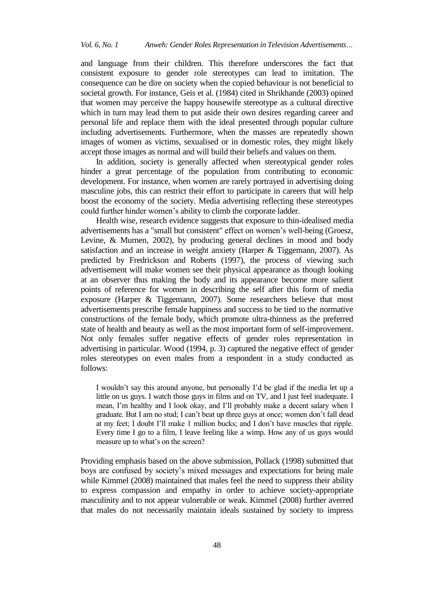and language from their children. This therefore underscores the fact that consistent exposure to gender role stereotypes can lead to imitation. The consequence can be dire on society when the copied behaviour is not beneficial to societal growth. For instance, Geis et al. (1984) cited in Shrikhande (2003) opined that women may perceive the happy housewife stereotype as a cultural directive which in turn may lead them to put aside their own desires regarding career and personal life and replace them with the ideal presented through popular culture including advertisements. Furthermore, when the masses are repeatedly shown images of women as victims, sexualised or in domestic roles, they might likely accept those images as normal and will build their beliefs and values on them.

In addition, society is generally affected when stereotypical gender roles hinder a great percentage of the population from contributing to economic development. For instance, when women are rarely portrayed in advertising doing masculine jobs, this can restrict their effort to participate in careers that will help boost the economy of the society. Media advertising reflecting these stereotypes could further hinder women's ability to climb the corporate ladder.

Health wise, research evidence suggests that exposure to thin-idealised media advertisements has a "small but consistent" effect on women's well-being (Groesz, Levine, & Murnen, 2002), by producing general declines in mood and body satisfaction and an increase in weight anxiety (Harper & Tiggemann, 2007). As predicted by Fredrickson and Roberts (1997), the process of viewing such advertisement will make women see their physical appearance as though looking at an observer thus making the body and its appearance become more salient points of reference for women in describing the self after this form of media exposure (Harper & Tiggemann, 2007). Some researchers believe that most advertisements prescribe female happiness and success to be tied to the normative constructions of the female body, which promote ultra-thinness as the preferred state of health and beauty as well as the most important form of self-improvement. Not only females suffer negative effects of gender roles representation in advertising in particular. Wood (1994, p. 3) captured the negative effect of gender roles stereotypes on even males from a respondent in a study conducted as follows:

I wouldn't say this around anyone, but personally I'd be glad if the media let up a little on us guys. I watch those guys in films and on TV, and I just feel inadequate. I mean, I'm healthy and I look okay, and I'll probably make a decent salary when I graduate. But I am no stud; I can't beat up three guys at once; women don't fall dead at my feet; I doubt I'll make 1 million bucks; and I don't have muscles that ripple. Every time I go to a film, I leave feeling like a wimp. How any of us guys would measure up to what's on the screen?

Providing emphasis based on the above submission, Pollack (1998) submitted that boys are confused by society's mixed messages and expectations for being male while Kimmel (2008) maintained that males feel the need to suppress their ability to express compassion and empathy in order to achieve society-appropriate masculinity and to not appear vulnerable or weak. Kimmel (2008) further averred that males do not necessarily maintain ideals sustained by society to impress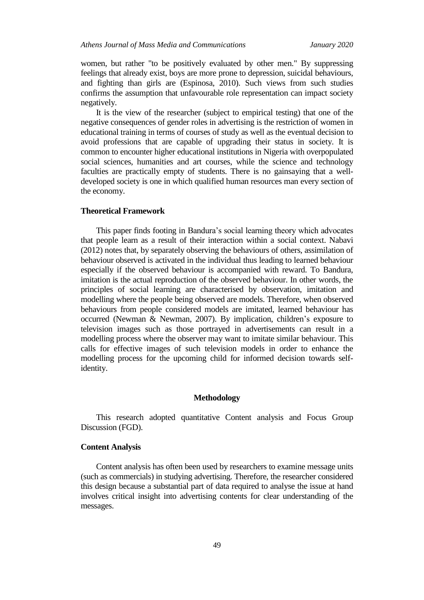women, but rather "to be positively evaluated by other men." By suppressing feelings that already exist, boys are more prone to depression, suicidal behaviours, and fighting than girls are (Espinosa, 2010). Such views from such studies confirms the assumption that unfavourable role representation can impact society negatively.

It is the view of the researcher (subject to empirical testing) that one of the negative consequences of gender roles in advertising is the restriction of women in educational training in terms of courses of study as well as the eventual decision to avoid professions that are capable of upgrading their status in society. It is common to encounter higher educational institutions in Nigeria with overpopulated social sciences, humanities and art courses, while the science and technology faculties are practically empty of students. There is no gainsaying that a welldeveloped society is one in which qualified human resources man every section of the economy.

# **Theoretical Framework**

This paper finds footing in Bandura's social learning theory which advocates that people learn as a result of their interaction within a social context. Nabavi (2012) notes that, by separately observing the behaviours of others, assimilation of behaviour observed is activated in the individual thus leading to learned behaviour especially if the observed behaviour is accompanied with reward. To Bandura, imitation is the actual reproduction of the observed behaviour. In other words, the principles of social learning are characterised by observation, imitation and modelling where the people being observed are models. Therefore, when observed behaviours from people considered models are imitated, learned behaviour has occurred (Newman & Newman, 2007). By implication, children's exposure to television images such as those portrayed in advertisements can result in a modelling process where the observer may want to imitate similar behaviour. This calls for effective images of such television models in order to enhance the modelling process for the upcoming child for informed decision towards selfidentity.

#### **Methodology**

This research adopted quantitative Content analysis and Focus Group Discussion (FGD).

#### **Content Analysis**

Content analysis has often been used by researchers to examine message units (such as commercials) in studying advertising. Therefore, the researcher considered this design because a substantial part of data required to analyse the issue at hand involves critical insight into advertising contents for clear understanding of the messages.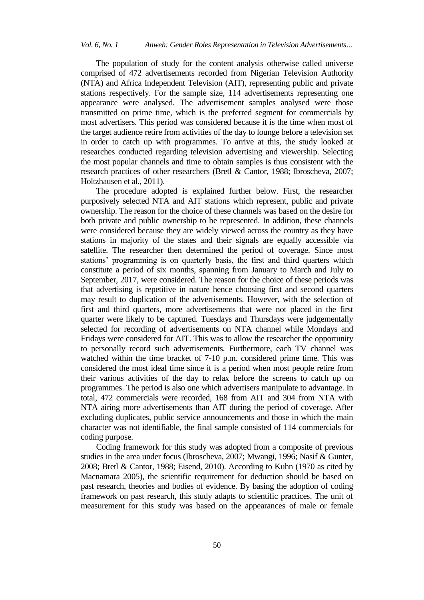The population of study for the content analysis otherwise called universe comprised of 472 advertisements recorded from Nigerian Television Authority (NTA) and Africa Independent Television (AIT), representing public and private stations respectively. For the sample size, 114 advertisements representing one appearance were analysed. The advertisement samples analysed were those transmitted on prime time, which is the preferred segment for commercials by most advertisers. This period was considered because it is the time when most of the target audience retire from activities of the day to lounge before a television set in order to catch up with programmes. To arrive at this, the study looked at researches conducted regarding television advertising and viewership. Selecting the most popular channels and time to obtain samples is thus consistent with the research practices of other researchers (Bretl & Cantor, 1988; Ibroscheva, 2007; Holtzhausen et al., 2011).

The procedure adopted is explained further below. First, the researcher purposively selected NTA and AIT stations which represent, public and private ownership. The reason for the choice of these channels was based on the desire for both private and public ownership to be represented. In addition, these channels were considered because they are widely viewed across the country as they have stations in majority of the states and their signals are equally accessible via satellite. The researcher then determined the period of coverage. Since most stations' programming is on quarterly basis, the first and third quarters which constitute a period of six months, spanning from January to March and July to September, 2017, were considered. The reason for the choice of these periods was that advertising is repetitive in nature hence choosing first and second quarters may result to duplication of the advertisements. However, with the selection of first and third quarters, more advertisements that were not placed in the first quarter were likely to be captured. Tuesdays and Thursdays were judgementally selected for recording of advertisements on NTA channel while Mondays and Fridays were considered for AIT. This was to allow the researcher the opportunity to personally record such advertisements. Furthermore, each TV channel was watched within the time bracket of 7-10 p.m. considered prime time. This was considered the most ideal time since it is a period when most people retire from their various activities of the day to relax before the screens to catch up on programmes. The period is also one which advertisers manipulate to advantage. In total, 472 commercials were recorded, 168 from AIT and 304 from NTA with NTA airing more advertisements than AIT during the period of coverage. After excluding duplicates, public service announcements and those in which the main character was not identifiable, the final sample consisted of 114 commercials for coding purpose.

Coding framework for this study was adopted from a composite of previous studies in the area under focus (Ibroscheva, 2007; Mwangi, 1996; Nasif & Gunter, 2008; Bretl & Cantor, 1988; Eisend, 2010). According to Kuhn (1970 as cited by Macnamara 2005), the scientific requirement for deduction should be based on past research, theories and bodies of evidence. By basing the adoption of coding framework on past research, this study adapts to scientific practices. The unit of measurement for this study was based on the appearances of male or female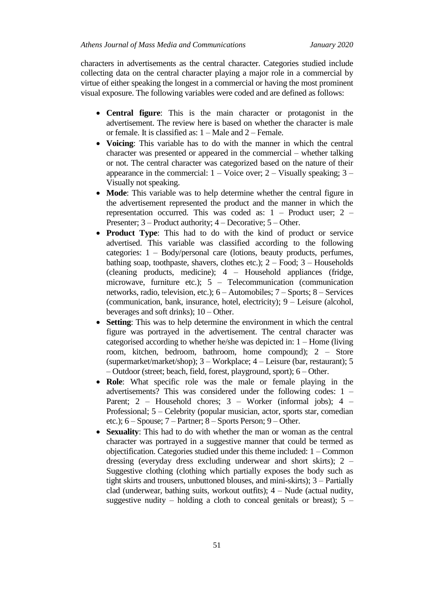characters in advertisements as the central character. Categories studied include collecting data on the central character playing a major role in a commercial by virtue of either speaking the longest in a commercial or having the most prominent visual exposure. The following variables were coded and are defined as follows:

- **Central figure**: This is the main character or protagonist in the advertisement. The review here is based on whether the character is male or female. It is classified as: 1 – Male and 2 – Female.
- **Voicing**: This variable has to do with the manner in which the central character was presented or appeared in the commercial – whether talking or not. The central character was categorized based on the nature of their appearance in the commercial:  $1 -$ Voice over;  $2 -$ Visually speaking;  $3 -$ Visually not speaking.
- **Mode**: This variable was to help determine whether the central figure in the advertisement represented the product and the manner in which the representation occurred. This was coded as: 1 – Product user; 2 – Presenter; 3 – Product authority; 4 – Decorative; 5 – Other.
- **Product Type**: This had to do with the kind of product or service advertised. This variable was classified according to the following categories: 1 – Body/personal care (lotions, beauty products, perfumes, bathing soap, toothpaste, shavers, clothes etc.);  $2 -$  Food;  $3 -$  Households (cleaning products, medicine); 4 – Household appliances (fridge, microwave, furniture etc.); 5 – Telecommunication (communication networks, radio, television, etc.); 6 – Automobiles; 7 – Sports; 8 – Services (communication, bank, insurance, hotel, electricity); 9 – Leisure (alcohol, beverages and soft drinks); 10 – Other.
- **Setting**: This was to help determine the environment in which the central figure was portrayed in the advertisement. The central character was categorised according to whether he/she was depicted in: 1 – Home (living room, kitchen, bedroom, bathroom, home compound); 2 – Store (supermarket/market/shop); 3 – Workplace; 4 – Leisure (bar, restaurant); 5 – Outdoor (street; beach, field, forest, playground, sport); 6 – Other.
- **Role**: What specific role was the male or female playing in the advertisements? This was considered under the following codes: 1 – Parent; 2 – Household chores; 3 – Worker (informal jobs); 4 – Professional; 5 – Celebrity (popular musician, actor, sports star, comedian etc.); 6 – Spouse; 7 – Partner; 8 – Sports Person; 9 – Other.
- **Sexuality**: This had to do with whether the man or woman as the central character was portrayed in a suggestive manner that could be termed as objectification. Categories studied under this theme included: 1 – Common dressing (everyday dress excluding underwear and short skirts); 2 – Suggestive clothing (clothing which partially exposes the body such as tight skirts and trousers, unbuttoned blouses, and mini-skirts); 3 – Partially clad (underwear, bathing suits, workout outfits);  $4 -$ Nude (actual nudity, suggestive nudity – holding a cloth to conceal genitals or breast);  $5 -$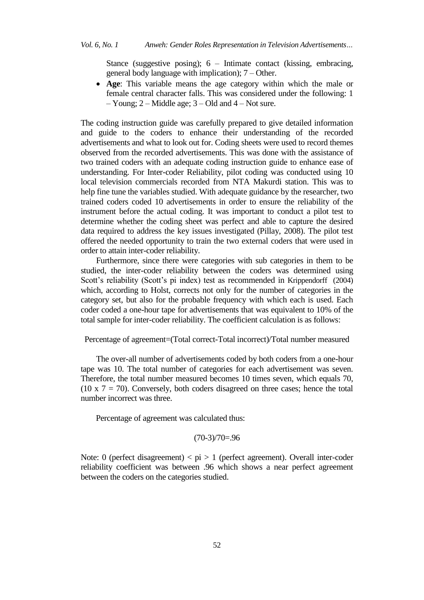Stance (suggestive posing);  $6 -$  Intimate contact (kissing, embracing, general body language with implication); 7 – Other.

 **Age**: This variable means the age category within which the male or female central character falls. This was considered under the following: 1  $-$  Young; 2 – Middle age; 3 – Old and 4 – Not sure.

The coding instruction guide was carefully prepared to give detailed information and guide to the coders to enhance their understanding of the recorded advertisements and what to look out for. Coding sheets were used to record themes observed from the recorded advertisements. This was done with the assistance of two trained coders with an adequate coding instruction guide to enhance ease of understanding. For Inter-coder Reliability, pilot coding was conducted using 10 local television commercials recorded from NTA Makurdi station. This was to help fine tune the variables studied. With adequate guidance by the researcher, two trained coders coded 10 advertisements in order to ensure the reliability of the instrument before the actual coding. It was important to conduct a pilot test to determine whether the coding sheet was perfect and able to capture the desired data required to address the key issues investigated (Pillay, 2008). The pilot test offered the needed opportunity to train the two external coders that were used in order to attain inter-coder reliability.

Furthermore, since there were categories with sub categories in them to be studied, the inter-coder reliability between the coders was determined using Scott's reliability (Scott's pi index) test as recommended in Krippendorff (2004) which, according to Holst, corrects not only for the number of categories in the category set, but also for the probable frequency with which each is used. Each coder coded a one-hour tape for advertisements that was equivalent to 10% of the total sample for inter-coder reliability. The coefficient calculation is as follows:

Percentage of agreement=(Total correct-Total incorrect)/Total number measured

The over-all number of advertisements coded by both coders from a one-hour tape was 10. The total number of categories for each advertisement was seven. Therefore, the total number measured becomes 10 times seven, which equals 70, (10 x  $7 = 70$ ). Conversely, both coders disagreed on three cases; hence the total number incorrect was three.

Percentage of agreement was calculated thus:

$$
(70-3)/70=0.96
$$

Note: 0 (perfect disagreement)  $\langle \pi p \rangle > 1$  (perfect agreement). Overall inter-coder reliability coefficient was between .96 which shows a near perfect agreement between the coders on the categories studied.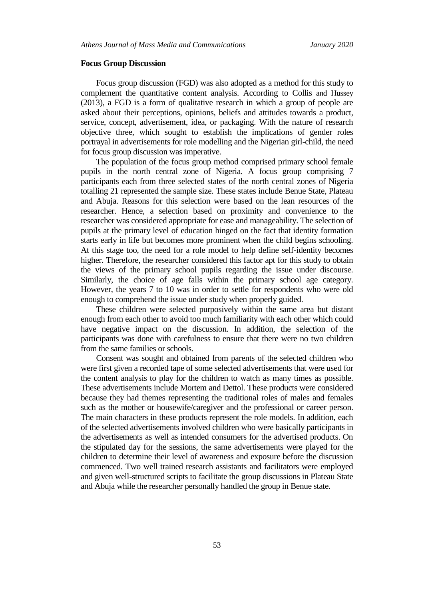#### **Focus Group Discussion**

Focus group discussion (FGD) was also adopted as a method for this study to complement the quantitative content analysis. According to Collis and Hussey (2013), a FGD is a form of qualitative research in which a group of people are asked about their perceptions, opinions, beliefs and attitudes towards a product, service, concept, advertisement, idea, or packaging. With the nature of research objective three, which sought to establish the implications of gender roles portrayal in advertisements for role modelling and the Nigerian girl-child, the need for focus group discussion was imperative.

The population of the focus group method comprised primary school female pupils in the north central zone of Nigeria. A focus group comprising 7 participants each from three selected states of the north central zones of Nigeria totalling 21 represented the sample size. These states include Benue State, Plateau and Abuja. Reasons for this selection were based on the lean resources of the researcher. Hence, a selection based on proximity and convenience to the researcher was considered appropriate for ease and manageability. The selection of pupils at the primary level of education hinged on the fact that identity formation starts early in life but becomes more prominent when the child begins schooling. At this stage too, the need for a role model to help define self-identity becomes higher. Therefore, the researcher considered this factor apt for this study to obtain the views of the primary school pupils regarding the issue under discourse. Similarly, the choice of age falls within the primary school age category. However, the years 7 to 10 was in order to settle for respondents who were old enough to comprehend the issue under study when properly guided.

These children were selected purposively within the same area but distant enough from each other to avoid too much familiarity with each other which could have negative impact on the discussion. In addition, the selection of the participants was done with carefulness to ensure that there were no two children from the same families or schools.

Consent was sought and obtained from parents of the selected children who were first given a recorded tape of some selected advertisements that were used for the content analysis to play for the children to watch as many times as possible. These advertisements include Mortem and Dettol. These products were considered because they had themes representing the traditional roles of males and females such as the mother or housewife/caregiver and the professional or career person. The main characters in these products represent the role models. In addition, each of the selected advertisements involved children who were basically participants in the advertisements as well as intended consumers for the advertised products. On the stipulated day for the sessions, the same advertisements were played for the children to determine their level of awareness and exposure before the discussion commenced. Two well trained research assistants and facilitators were employed and given well-structured scripts to facilitate the group discussions in Plateau State and Abuja while the researcher personally handled the group in Benue state.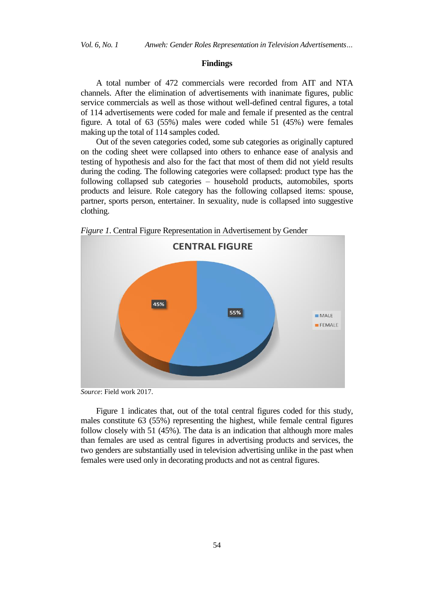#### **Findings**

A total number of 472 commercials were recorded from AIT and NTA channels. After the elimination of advertisements with inanimate figures, public service commercials as well as those without well-defined central figures, a total of 114 advertisements were coded for male and female if presented as the central figure. A total of 63 (55%) males were coded while 51 (45%) were females making up the total of 114 samples coded.

Out of the seven categories coded, some sub categories as originally captured on the coding sheet were collapsed into others to enhance ease of analysis and testing of hypothesis and also for the fact that most of them did not yield results during the coding. The following categories were collapsed: product type has the following collapsed sub categories – household products, automobiles, sports products and leisure. Role category has the following collapsed items: spouse, partner, sports person, entertainer. In sexuality, nude is collapsed into suggestive clothing.



*Figure 1*. Central Figure Representation in Advertisement by Gender

*Source*: Field work 2017.

Figure 1 indicates that, out of the total central figures coded for this study, males constitute 63 (55%) representing the highest, while female central figures follow closely with 51 (45%). The data is an indication that although more males than females are used as central figures in advertising products and services, the two genders are substantially used in television advertising unlike in the past when females were used only in decorating products and not as central figures.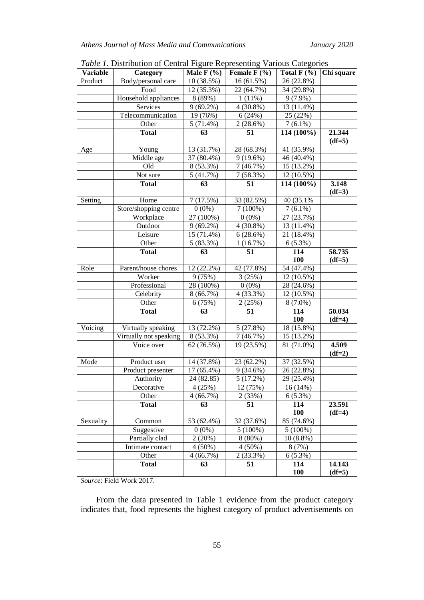| <b>Variable</b> | Category               | Male $F(% )$ | Female $F(\% )$ | Total $F(% )$ | Chi square         |
|-----------------|------------------------|--------------|-----------------|---------------|--------------------|
| Product         | Body/personal care     | 10 (38.5%)   | 16 (61.5%)      | 26 (22.8%)    |                    |
|                 | Food                   | 12 (35.3%)   | 22 (64.7%)      | 34 (29.8%)    |                    |
|                 | Household appliances   | 8 (89%)      | $1(11\%)$       | $9(7.9\%)$    |                    |
|                 | Services               | $9(69.2\%)$  | $4(30.8\%)$     | 13 (11.4%)    |                    |
|                 | Telecommunication      | 19 (76%)     | 6(24%)          | 25 (22%)      |                    |
|                 | Other                  | $5(71.4\%)$  | 2(28.6%)        | $7(6.1\%)$    |                    |
|                 | <b>Total</b>           | 63           | 51              | 114 (100%)    | 21.344<br>$(df=5)$ |
| Age             | Young                  | 13 (31.7%)   | 28 (68.3%)      | 41 (35.9%)    |                    |
|                 | Middle age             | 37 (80.4%)   | 9(19.6%)        | 46 (40.4%)    |                    |
|                 | Old                    | 8 (53.3%)    | 7(46.7%)        | 15 (13.2%)    |                    |
|                 | Not sure               | 5(41.7%)     | 7(58.3%)        | 12 (10.5%)    |                    |
|                 | <b>Total</b>           | 63           | 51              | 114 (100%)    | 3.148<br>$(df=3)$  |
| Setting         | Home                   | 7(17.5%)     | 33 (82.5%)      | 40 (35.1%)    |                    |
|                 | Store/shopping centre  | $0(0\%)$     | $7(100\%)$      | $7(6.1\%)$    |                    |
|                 | Workplace              | 27 (100%)    | $0(0\%)$        | 27 (23.7%)    |                    |
|                 | Outdoor                | $9(69.2\%)$  | $4(30.8\%)$     | 13 (11.4%)    |                    |
|                 | Leisure                | 15 (71.4%)   | 6(28.6%)        | 21 (18.4%)    |                    |
|                 | Other                  | $5(83.3\%)$  | 1(16.7%)        | 6(5.3%)       |                    |
|                 | <b>Total</b>           | 63           | 51              | 114           | 58.735             |
|                 |                        |              |                 | 100           | $(df=5)$           |
| Role            | Parent/house chores    | 12 (22.2%)   | 42 (77.8%)      | 54 (47.4%)    |                    |
|                 | Worker                 | 9(75%)       | 3(25%)          | 12 (10.5%)    |                    |
|                 | Professional           | 28 (100%)    | $0(0\%)$        | 28 (24.6%)    |                    |
|                 | Celebrity              | 8(66.7%)     | 4 (33.3%)       | 12 (10.5%)    |                    |
|                 | Other                  | 6(75%)       | 2(25%)          | $8(7.0\%)$    |                    |
|                 | <b>Total</b>           | 63           | 51              | 114           | 50.034             |
|                 |                        |              |                 | 100           | $(df=4)$           |
| Voicing         | Virtually speaking     | 13 (72.2%)   | 5(27.8%)        | 18 (15.8%)    |                    |
|                 | Virtually not speaking | 8 (53.3%)    | 7(46.7%)        | 15 (13.2%)    |                    |
|                 | Voice over             | 62 (76.5%)   | 19 (23.5%)      | 81 (71.0%)    | 4.509<br>$(df=2)$  |
| Mode            | Product user           | 14 (37.8%)   | 23 (62.2%)      | 37 (32.5%)    |                    |
|                 | Product presenter      | 17 (65.4%)   | $9(34.6\%)$     | 26 (22.8%)    |                    |
|                 | Authority              | 24 (82.85)   | 5(17.2%)        | 29 (25.4%)    |                    |
|                 | Decorative             | 4(25%)       | 12 (75%)        | 16(14%)       |                    |
|                 | Other                  | 4(66.7%)     | 2(33%)          | 6(5.3%)       |                    |
|                 | <b>Total</b>           | 63           | 51              | 114           | 23.591             |
|                 |                        |              |                 | <b>100</b>    | $(df=4)$           |
| Sexuality       | Common                 | 53 (62.4%)   | 32 (37.6%)      | 85 (74.6%)    |                    |
|                 | Suggestive             | $0(0\%)$     | $5(100\%)$      | $5(100\%)$    |                    |
|                 | Partially clad         | 2(20%)       | 8(80%)          | $10(8.8\%)$   |                    |
|                 | Intimate contact       | $4(50\%)$    | $4(50\%)$       | 8(7%)         |                    |
|                 | Other                  | 4(66.7%)     | $2(33.3\%)$     | 6(5.3%)       |                    |
|                 | <b>Total</b>           | 63           | 51              | 114           | 14.143             |
|                 |                        |              |                 | <b>100</b>    | $(df=5)$           |

*Table 1*. Distribution of Central Figure Representing Various Categories

*Source*: Field Work 2017.

From the data presented in Table 1 evidence from the product category indicates that, food represents the highest category of product advertisements on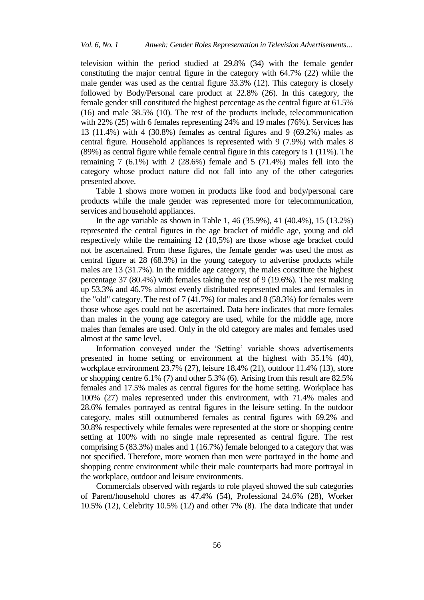television within the period studied at 29.8% (34) with the female gender constituting the major central figure in the category with 64.7% (22) while the male gender was used as the central figure 33.3% (12). This category is closely followed by Body/Personal care product at 22.8% (26). In this category, the female gender still constituted the highest percentage as the central figure at 61.5% (16) and male 38.5% (10). The rest of the products include, telecommunication with 22% (25) with 6 females representing 24% and 19 males (76%). Services has 13 (11.4%) with 4 (30.8%) females as central figures and 9 (69.2%) males as central figure. Household appliances is represented with 9 (7.9%) with males 8 (89%) as central figure while female central figure in this category is 1 (11%). The remaining  $7(6.1\%)$  with  $2(28.6\%)$  female and  $5(71.4\%)$  males fell into the category whose product nature did not fall into any of the other categories presented above.

Table 1 shows more women in products like food and body/personal care products while the male gender was represented more for telecommunication, services and household appliances.

In the age variable as shown in Table 1, 46 (35.9%), 41 (40.4%), 15 (13.2%) represented the central figures in the age bracket of middle age, young and old respectively while the remaining 12 (10,5%) are those whose age bracket could not be ascertained. From these figures, the female gender was used the most as central figure at 28 (68.3%) in the young category to advertise products while males are 13 (31.7%). In the middle age category, the males constitute the highest percentage 37 (80.4%) with females taking the rest of 9 (19.6%). The rest making up 53.3% and 46.7% almost evenly distributed represented males and females in the "old" category. The rest of 7 (41.7%) for males and 8 (58.3%) for females were those whose ages could not be ascertained. Data here indicates that more females than males in the young age category are used, while for the middle age, more males than females are used. Only in the old category are males and females used almost at the same level.

Information conveyed under the 'Setting' variable shows advertisements presented in home setting or environment at the highest with 35.1% (40), workplace environment 23.7% (27), leisure 18.4% (21), outdoor 11.4% (13), store or shopping centre  $6.1\%$  (7) and other  $5.3\%$  (6). Arising from this result are  $82.5\%$ females and 17.5% males as central figures for the home setting. Workplace has 100% (27) males represented under this environment, with 71.4% males and 28.6% females portrayed as central figures in the leisure setting. In the outdoor category, males still outnumbered females as central figures with 69.2% and 30.8% respectively while females were represented at the store or shopping centre setting at 100% with no single male represented as central figure. The rest comprising 5 (83.3%) males and 1 (16.7%) female belonged to a category that was not specified. Therefore, more women than men were portrayed in the home and shopping centre environment while their male counterparts had more portrayal in the workplace, outdoor and leisure environments.

Commercials observed with regards to role played showed the sub categories of Parent/household chores as 47.4% (54), Professional 24.6% (28), Worker 10.5% (12), Celebrity 10.5% (12) and other 7% (8). The data indicate that under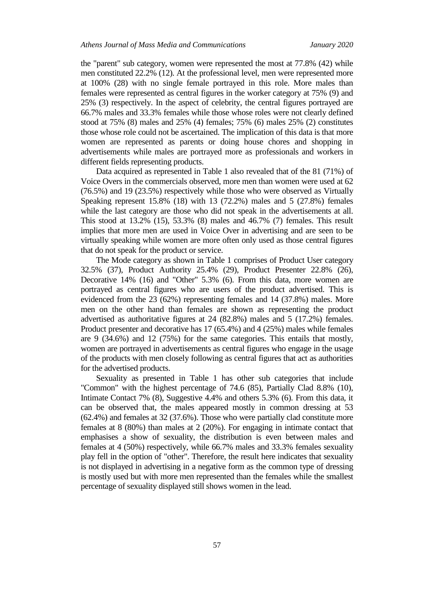the "parent" sub category, women were represented the most at 77.8% (42) while men constituted 22.2% (12). At the professional level, men were represented more at 100% (28) with no single female portrayed in this role. More males than females were represented as central figures in the worker category at 75% (9) and 25% (3) respectively. In the aspect of celebrity, the central figures portrayed are 66.7% males and 33.3% females while those whose roles were not clearly defined stood at 75% (8) males and 25% (4) females; 75% (6) males 25% (2) constitutes those whose role could not be ascertained. The implication of this data is that more women are represented as parents or doing house chores and shopping in advertisements while males are portrayed more as professionals and workers in different fields representing products.

Data acquired as represented in Table 1 also revealed that of the 81 (71%) of Voice Overs in the commercials observed, more men than women were used at 62 (76.5%) and 19 (23.5%) respectively while those who were observed as Virtually Speaking represent 15.8% (18) with 13 (72.2%) males and 5 (27.8%) females while the last category are those who did not speak in the advertisements at all. This stood at 13.2% (15), 53.3% (8) males and 46.7% (7) females. This result implies that more men are used in Voice Over in advertising and are seen to be virtually speaking while women are more often only used as those central figures that do not speak for the product or service.

The Mode category as shown in Table 1 comprises of Product User category 32.5% (37), Product Authority 25.4% (29), Product Presenter 22.8% (26), Decorative 14% (16) and "Other" 5.3% (6). From this data, more women are portrayed as central figures who are users of the product advertised. This is evidenced from the 23 (62%) representing females and 14 (37.8%) males. More men on the other hand than females are shown as representing the product advertised as authoritative figures at 24 (82.8%) males and 5 (17.2%) females. Product presenter and decorative has 17 (65.4%) and 4 (25%) males while females are 9 (34.6%) and 12 (75%) for the same categories. This entails that mostly, women are portrayed in advertisements as central figures who engage in the usage of the products with men closely following as central figures that act as authorities for the advertised products.

Sexuality as presented in Table 1 has other sub categories that include "Common" with the highest percentage of 74.6 (85), Partially Clad 8.8% (10), Intimate Contact 7% (8), Suggestive 4.4% and others 5.3% (6). From this data, it can be observed that, the males appeared mostly in common dressing at 53 (62.4%) and females at 32 (37.6%). Those who were partially clad constitute more females at 8 (80%) than males at 2 (20%). For engaging in intimate contact that emphasises a show of sexuality, the distribution is even between males and females at 4 (50%) respectively, while 66.7% males and 33.3% females sexuality play fell in the option of "other". Therefore, the result here indicates that sexuality is not displayed in advertising in a negative form as the common type of dressing is mostly used but with more men represented than the females while the smallest percentage of sexuality displayed still shows women in the lead.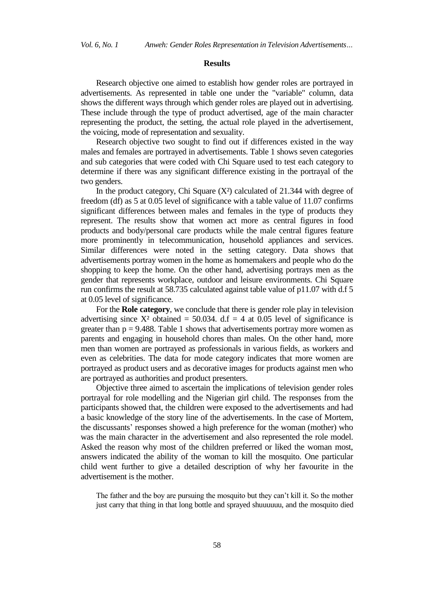#### **Results**

Research objective one aimed to establish how gender roles are portrayed in advertisements. As represented in table one under the "variable" column, data shows the different ways through which gender roles are played out in advertising. These include through the type of product advertised, age of the main character representing the product, the setting, the actual role played in the advertisement, the voicing, mode of representation and sexuality.

Research objective two sought to find out if differences existed in the way males and females are portrayed in advertisements. Table 1 shows seven categories and sub categories that were coded with Chi Square used to test each category to determine if there was any significant difference existing in the portrayal of the two genders.

In the product category, Chi Square  $(X^2)$  calculated of 21.344 with degree of freedom (df) as 5 at 0.05 level of significance with a table value of 11.07 confirms significant differences between males and females in the type of products they represent. The results show that women act more as central figures in food products and body/personal care products while the male central figures feature more prominently in telecommunication, household appliances and services. Similar differences were noted in the setting category. Data shows that advertisements portray women in the home as homemakers and people who do the shopping to keep the home. On the other hand, advertising portrays men as the gender that represents workplace, outdoor and leisure environments. Chi Square run confirms the result at 58.735 calculated against table value of p11.07 with d.f 5 at 0.05 level of significance.

For the **Role category**, we conclude that there is gender role play in television advertising since  $X^2$  obtained = 50.034. d.f = 4 at 0.05 level of significance is greater than  $p = 9.488$ . Table 1 shows that advertisements portray more women as parents and engaging in household chores than males. On the other hand, more men than women are portrayed as professionals in various fields, as workers and even as celebrities. The data for mode category indicates that more women are portrayed as product users and as decorative images for products against men who are portrayed as authorities and product presenters.

Objective three aimed to ascertain the implications of television gender roles portrayal for role modelling and the Nigerian girl child. The responses from the participants showed that, the children were exposed to the advertisements and had a basic knowledge of the story line of the advertisements. In the case of Mortem, the discussants' responses showed a high preference for the woman (mother) who was the main character in the advertisement and also represented the role model. Asked the reason why most of the children preferred or liked the woman most, answers indicated the ability of the woman to kill the mosquito. One particular child went further to give a detailed description of why her favourite in the advertisement is the mother.

The father and the boy are pursuing the mosquito but they can't kill it. So the mother just carry that thing in that long bottle and sprayed shuuuuuu, and the mosquito died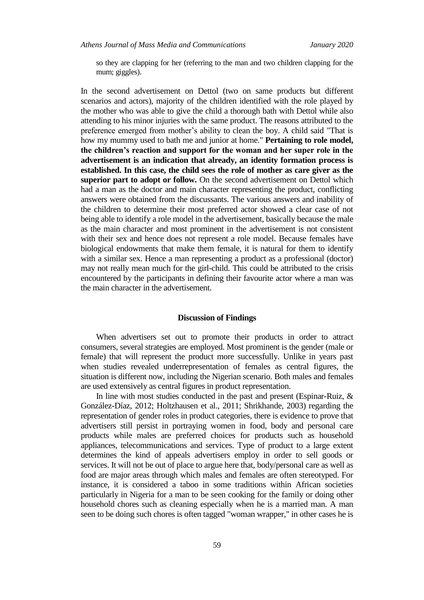so they are clapping for her (referring to the man and two children clapping for the mum; giggles).

In the second advertisement on Dettol (two on same products but different scenarios and actors), majority of the children identified with the role played by the mother who was able to give the child a thorough bath with Dettol while also attending to his minor injuries with the same product. The reasons attributed to the preference emerged from mother's ability to clean the boy. A child said "That is how my mummy used to bath me and junior at home." **Pertaining to role model, the children's reaction and support for the woman and her super role in the advertisement is an indication that already, an identity formation process is established. In this case, the child sees the role of mother as care giver as the superior part to adopt or follow.** On the second advertisement on Dettol which had a man as the doctor and main character representing the product, conflicting answers were obtained from the discussants. The various answers and inability of the children to determine their most preferred actor showed a clear case of not being able to identify a role model in the advertisement, basically because the male as the main character and most prominent in the advertisement is not consistent with their sex and hence does not represent a role model. Because females have biological endowments that make them female, it is natural for them to identify with a similar sex. Hence a man representing a product as a professional (doctor) may not really mean much for the girl-child. This could be attributed to the crisis encountered by the participants in defining their favourite actor where a man was the main character in the advertisement.

### **Discussion of Findings**

When advertisers set out to promote their products in order to attract consumers, several strategies are employed. Most prominent is the gender (male or female) that will represent the product more successfully. Unlike in years past when studies revealed underrepresentation of females as central figures, the situation is different now, including the Nigerian scenario. Both males and females are used extensively as central figures in product representation.

In line with most studies conducted in the past and present (Espinar-Ruiz, & González-Díaz, 2012; Holtzhausen et al., 2011; Shrikhande, 2003) regarding the representation of gender roles in product categories, there is evidence to prove that advertisers still persist in portraying women in food, body and personal care products while males are preferred choices for products such as household appliances, telecommunications and services. Type of product to a large extent determines the kind of appeals advertisers employ in order to sell goods or services. It will not be out of place to argue here that, body/personal care as well as food are major areas through which males and females are often stereotyped. For instance, it is considered a taboo in some traditions within African societies particularly in Nigeria for a man to be seen cooking for the family or doing other household chores such as cleaning especially when he is a married man. A man seen to be doing such chores is often tagged "woman wrapper," in other cases he is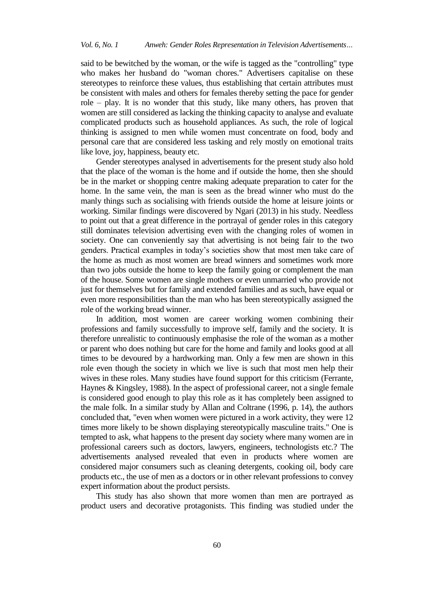said to be bewitched by the woman, or the wife is tagged as the "controlling" type who makes her husband do "woman chores." Advertisers capitalise on these stereotypes to reinforce these values, thus establishing that certain attributes must be consistent with males and others for females thereby setting the pace for gender role – play. It is no wonder that this study, like many others, has proven that women are still considered as lacking the thinking capacity to analyse and evaluate complicated products such as household appliances. As such, the role of logical thinking is assigned to men while women must concentrate on food, body and personal care that are considered less tasking and rely mostly on emotional traits like love, joy, happiness, beauty etc.

Gender stereotypes analysed in advertisements for the present study also hold that the place of the woman is the home and if outside the home, then she should be in the market or shopping centre making adequate preparation to cater for the home. In the same vein, the man is seen as the bread winner who must do the manly things such as socialising with friends outside the home at leisure joints or working. Similar findings were discovered by Ngari (2013) in his study. Needless to point out that a great difference in the portrayal of gender roles in this category still dominates television advertising even with the changing roles of women in society. One can conveniently say that advertising is not being fair to the two genders. Practical examples in today's societies show that most men take care of the home as much as most women are bread winners and sometimes work more than two jobs outside the home to keep the family going or complement the man of the house. Some women are single mothers or even unmarried who provide not just for themselves but for family and extended families and as such, have equal or even more responsibilities than the man who has been stereotypically assigned the role of the working bread winner.

In addition, most women are career working women combining their professions and family successfully to improve self, family and the society. It is therefore unrealistic to continuously emphasise the role of the woman as a mother or parent who does nothing but care for the home and family and looks good at all times to be devoured by a hardworking man. Only a few men are shown in this role even though the society in which we live is such that most men help their wives in these roles. Many studies have found support for this criticism (Ferrante, Haynes & Kingsley, 1988). In the aspect of professional career, not a single female is considered good enough to play this role as it has completely been assigned to the male folk. In a similar study by Allan and Coltrane (1996, p. 14), the authors concluded that, "even when women were pictured in a work activity, they were 12 times more likely to be shown displaying stereotypically masculine traits." One is tempted to ask, what happens to the present day society where many women are in professional careers such as doctors, lawyers, engineers, technologists etc.? The advertisements analysed revealed that even in products where women are considered major consumers such as cleaning detergents, cooking oil, body care products etc., the use of men as a doctors or in other relevant professions to convey expert information about the product persists.

This study has also shown that more women than men are portrayed as product users and decorative protagonists. This finding was studied under the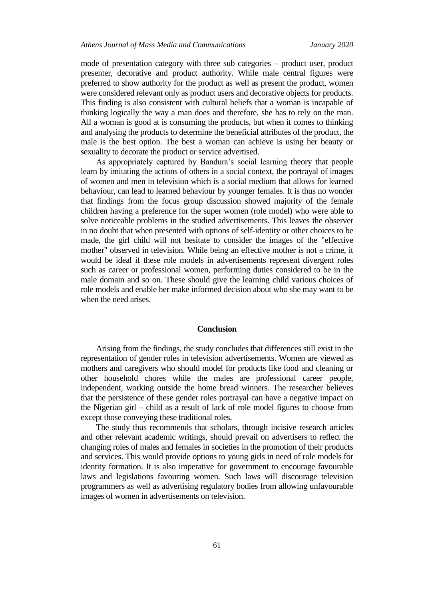mode of presentation category with three sub categories – product user, product presenter, decorative and product authority. While male central figures were preferred to show authority for the product as well as present the product, women were considered relevant only as product users and decorative objects for products. This finding is also consistent with cultural beliefs that a woman is incapable of thinking logically the way a man does and therefore, she has to rely on the man. All a woman is good at is consuming the products, but when it comes to thinking and analysing the products to determine the beneficial attributes of the product, the male is the best option. The best a woman can achieve is using her beauty or sexuality to decorate the product or service advertised.

As appropriately captured by Bandura's social learning theory that people learn by imitating the actions of others in a social context, the portrayal of images of women and men in television which is a social medium that allows for learned behaviour, can lead to learned behaviour by younger females. It is thus no wonder that findings from the focus group discussion showed majority of the female children having a preference for the super women (role model) who were able to solve noticeable problems in the studied advertisements. This leaves the observer in no doubt that when presented with options of self-identity or other choices to be made, the girl child will not hesitate to consider the images of the "effective mother" observed in television. While being an effective mother is not a crime, it would be ideal if these role models in advertisements represent divergent roles such as career or professional women, performing duties considered to be in the male domain and so on. These should give the learning child various choices of role models and enable her make informed decision about who she may want to be when the need arises.

## **Conclusion**

Arising from the findings, the study concludes that differences still exist in the representation of gender roles in television advertisements. Women are viewed as mothers and caregivers who should model for products like food and cleaning or other household chores while the males are professional career people, independent, working outside the home bread winners. The researcher believes that the persistence of these gender roles portrayal can have a negative impact on the Nigerian girl – child as a result of lack of role model figures to choose from except those conveying these traditional roles.

The study thus recommends that scholars, through incisive research articles and other relevant academic writings, should prevail on advertisers to reflect the changing roles of males and females in societies in the promotion of their products and services. This would provide options to young girls in need of role models for identity formation. It is also imperative for government to encourage favourable laws and legislations favouring women. Such laws will discourage television programmers as well as advertising regulatory bodies from allowing unfavourable images of women in advertisements on television.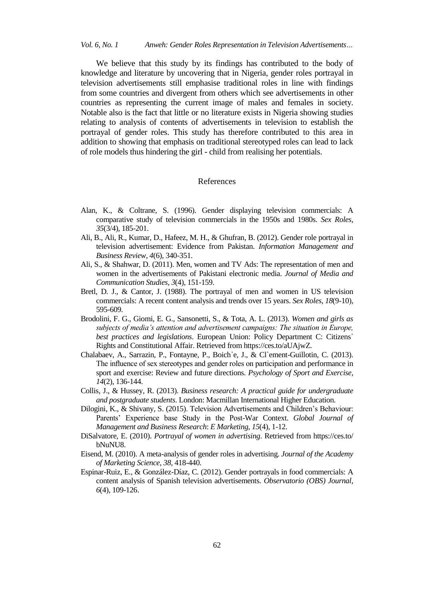*Vol. 6, No. 1 Anweh: Gender Roles Representation in Television Advertisements…*

We believe that this study by its findings has contributed to the body of knowledge and literature by uncovering that in Nigeria, gender roles portrayal in television advertisements still emphasise traditional roles in line with findings from some countries and divergent from others which see advertisements in other countries as representing the current image of males and females in society. Notable also is the fact that little or no literature exists in Nigeria showing studies relating to analysis of contents of advertisements in television to establish the portrayal of gender roles. This study has therefore contributed to this area in addition to showing that emphasis on traditional stereotyped roles can lead to lack of role models thus hindering the girl - child from realising her potentials.

#### References

- Alan, K., & Coltrane, S. (1996). Gender displaying television commercials: A comparative study of television commercials in the 1950s and 1980s. *Sex Roles*, *35*(3/4), 185-201.
- Ali, B., Ali, R., Kumar, D., Hafeez, M. H., & Ghufran, B. (2012). Gender role portrayal in television advertisement: Evidence from Pakistan. *Information Management and Business Review*, *4*(6), 340-351.
- Ali, S., & Shahwar, D. (2011). Men, women and TV Ads: The representation of men and women in the advertisements of Pakistani electronic media. *Journal of Media and Communication Studies*, *3*(4), 151-159.
- Bretl, D. J., & Cantor, J. (1988). The portrayal of men and women in US television commercials: A recent content analysis and trends over 15 years. *Sex Roles*, *18*(9-10), 595-609.
- Brodolini, F. G., Giomi, E. G., Sansonetti, S., & Tota, A. L. (2013). *Women and girls as subjects of media's attention and advertisement campaigns: The situation in Europe, best practices and legislations*. European Union: Policy Department C: Citizens᾽ Rights and Constitutional Affair. Retrieved from https://ces.to/aUAjwZ.
- Chalabaev, A., Sarrazin, P., Fontayne, P., Boich᾽e, J., & Cl᾽ement-Guillotin, C. (2013). The influence of sex stereotypes and gender roles on participation and performance in sport and exercise: Review and future directions. *Psychology of Sport and Exercise*, *14*(2), 136-144.
- Collis, J., & Hussey, R. (2013). *Business research: A practical guide for undergraduate and postgraduate students*. London: Macmillan International Higher Education.
- Dilogini, K., & Shivany, S. (2015). Television Advertisements and Children's Behaviour: Parents' Experience base Study in the Post-War Context. *Global Journal of Management and Business Research*: *E Marketing*, *15*(4), 1-12.
- DiSalvatore, E. (2010). *Portrayal of women in advertising*. Retrieved from https://ces.to/ bNuNU8.
- Eisend, M. (2010). A meta-analysis of gender roles in advertising. *Journal of the Academy of Marketing Science*, *38*, 418-440.
- Espinar-Ruiz, E., & González-Díaz, C. (2012). Gender portrayals in food commercials: A content analysis of Spanish television advertisements. *Observatorio (OBS) Journal*, *6*(4), 109-126.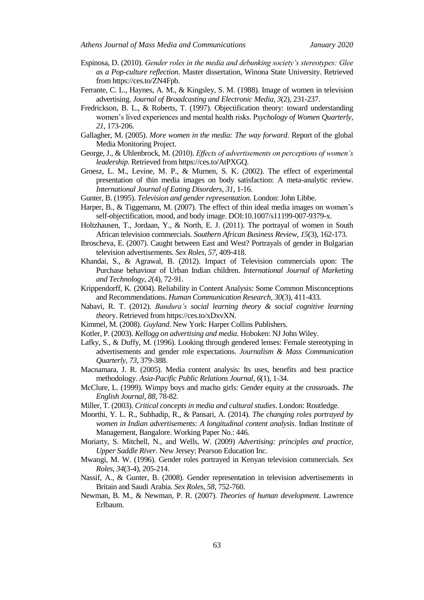- Espinosa, D. (2010). *Gender roles in the media and debunking society's stereotypes: Glee as a Pop-culture reflection*. Master dissertation, Winona State University. Retrieved from https://ces.to/ZN4Fpb.
- Ferrante, C. L., Haynes, A. M., & Kingsley, S. M. (1988). Image of women in television advertising. *Journal of Broadcasting and Electronic Media*, *3*(2), 231-237.
- Fredrickson, B. L., & Roberts, T. (1997). Objectification theory: toward understanding women's lived experiences and mental health risks. P*sychology of Women Quarterly*, *21*, 173-206.
- Gallagher, M. (2005). *More women in the media: The way forward*. Report of the global Media Monitoring Project.
- George, J., & Uhlenbrock, M. (2010). *Effects of advertisements on perceptions of women's leadership*. Retrieved from https://ces.to/AtPXGQ.
- Groesz, L. M., Levine, M. P., & Murnen, S. K. (2002). The effect of experimental presentation of thin media images on body satisfaction: A meta-analytic review. *International Journal of Eating Disorders*, *31*, 1-16.
- Gunter, B. (1995). *Television and gender representation*. London: John Libbe.
- Harper, B., & Tiggemann, M. (2007). The effect of thin ideal media images on women's self-objectification, mood, and body image. DOI:10.1007/s11199-007-9379-x.
- Holtzhausen, T., Jordaan, Y., & North, E. J. (2011). The portrayal of women in South African television commercials. *Southern African Business Review*, *15*(3), 162-173.
- Ibroscheva, E. (2007). Caught between East and West? Portrayals of gender in Bulgarian television advertisements. *Sex Roles*, *57*, 409-418.
- Khandai, S., & Agrawal, B. (2012). Impact of Television commercials upon: The Purchase behaviour of Urban Indian children. *International Journal of Marketing and Technology*, *2*(4), 72-91.
- Krippendorff, K. (2004). Reliability in Content Analysis: Some Common Misconceptions and Recommendations. *Human Communication Research*, *30*(3), 411-433*.*
- Nabavi, R. T. (2012). *Bandura's social learning theory & social cognitive learning theor*y. Retrieved from https://ces.to/xDxvXN.
- Kimmel, M. (2008). *Guyland*. New York: Harper Collins Publishers.
- Kotler, P. (2003). *Kellogg on advertising and media*. Hoboken: NJ John Wiley.
- Lafky, S., & Duffy, M. (1996). Looking through gendered lenses: Female stereotyping in advertisements and gender role expectations. *Journalism & Mass Communication Quarterly*, *73*, 379-388.
- Macnamara, J. R. (2005). Media content analysis: Its uses, benefits and best practice methodology. *Asia-Pacific Public Relations Journal*, *6*(1), 1-34.
- McClure, L. (1999). Wimpy boys and macho girls: Gender equity at the crossroads. *The English Journal*, *88*, 78-82.
- Miller, T. (2003). *Critical concepts in media and cultural studies*. London: Routledge.
- Moorthi, Y. L. R., Subhadip, R., & Pansari, A. (2014). *The changing roles portrayed by women in Indian advertisements: A longitudinal content analysis*. Indian Institute of Management, Bangalore. Working Paper No.: 446.
- Moriarty, S. Mitchell, N., and Wells, W. (2009) *Advertising: principles and practice, Upper Saddle River*. New Jersey: Pearson Education Inc.
- Mwangi, M. W. (1996). Gender roles portrayed in Kenyan television commercials. *Sex Roles*, *34*(3-4), 205-214.
- Nassif, A., & Gunter, B. (2008). Gender representation in television advertisements in Britain and Saudi Arabia. *Sex Roles*, *58*, 752-760.
- Newman, B. M., & Newman, P. R. (2007). *Theories of human development*. Lawrence Erlbaum.